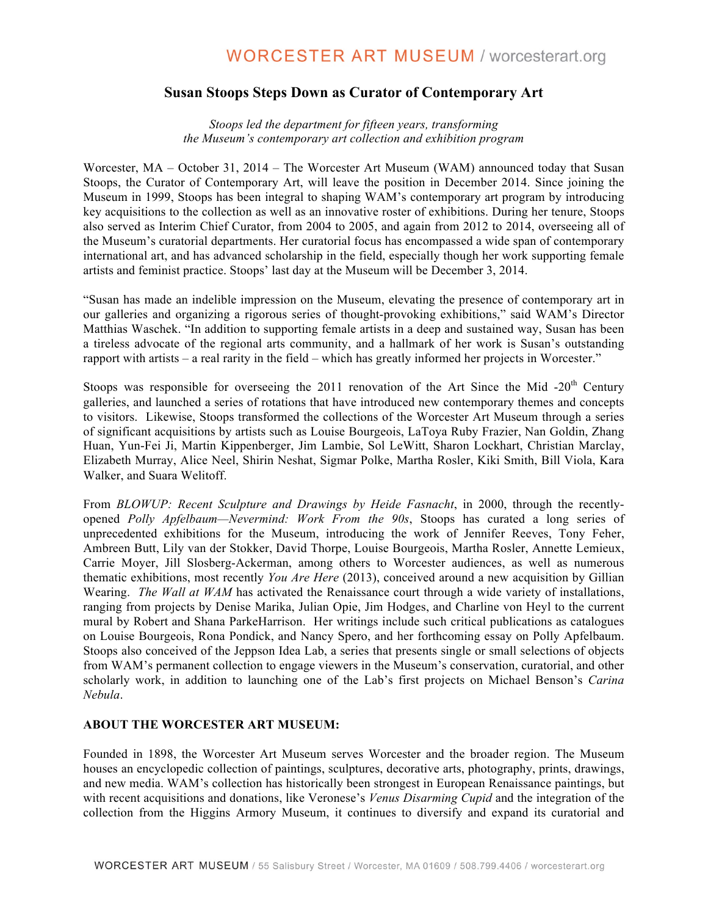## **Susan Stoops Steps Down as Curator of Contemporary Art**

*Stoops led the department for fifteen years, transforming the Museum's contemporary art collection and exhibition program* 

Worcester, MA – October 31, 2014 – The Worcester Art Museum (WAM) announced today that Susan Stoops, the Curator of Contemporary Art, will leave the position in December 2014. Since joining the Museum in 1999, Stoops has been integral to shaping WAM's contemporary art program by introducing key acquisitions to the collection as well as an innovative roster of exhibitions. During her tenure, Stoops also served as Interim Chief Curator, from 2004 to 2005, and again from 2012 to 2014, overseeing all of the Museum's curatorial departments. Her curatorial focus has encompassed a wide span of contemporary international art, and has advanced scholarship in the field, especially though her work supporting female artists and feminist practice. Stoops' last day at the Museum will be December 3, 2014.

"Susan has made an indelible impression on the Museum, elevating the presence of contemporary art in our galleries and organizing a rigorous series of thought-provoking exhibitions," said WAM's Director Matthias Waschek. "In addition to supporting female artists in a deep and sustained way, Susan has been a tireless advocate of the regional arts community, and a hallmark of her work is Susan's outstanding rapport with artists – a real rarity in the field – which has greatly informed her projects in Worcester."

Stoops was responsible for overseeing the 2011 renovation of the Art Since the Mid -20<sup>th</sup> Century galleries, and launched a series of rotations that have introduced new contemporary themes and concepts to visitors. Likewise, Stoops transformed the collections of the Worcester Art Museum through a series of significant acquisitions by artists such as Louise Bourgeois, LaToya Ruby Frazier, Nan Goldin, Zhang Huan, Yun-Fei Ji, Martin Kippenberger, Jim Lambie, Sol LeWitt, Sharon Lockhart, Christian Marclay, Elizabeth Murray, Alice Neel, Shirin Neshat, Sigmar Polke, Martha Rosler, Kiki Smith, Bill Viola, Kara Walker, and Suara Welitoff.

From *BLOWUP: Recent Sculpture and Drawings by Heide Fasnacht*, in 2000, through the recentlyopened *Polly Apfelbaum—Nevermind: Work From the 90s*, Stoops has curated a long series of unprecedented exhibitions for the Museum, introducing the work of Jennifer Reeves, Tony Feher, Ambreen Butt, Lily van der Stokker, David Thorpe, Louise Bourgeois, Martha Rosler, Annette Lemieux, Carrie Moyer, Jill Slosberg-Ackerman, among others to Worcester audiences, as well as numerous thematic exhibitions, most recently *You Are Here* (2013), conceived around a new acquisition by Gillian Wearing. *The Wall at WAM* has activated the Renaissance court through a wide variety of installations, ranging from projects by Denise Marika, Julian Opie, Jim Hodges, and Charline von Heyl to the current mural by Robert and Shana ParkeHarrison. Her writings include such critical publications as catalogues on Louise Bourgeois, Rona Pondick, and Nancy Spero, and her forthcoming essay on Polly Apfelbaum. Stoops also conceived of the Jeppson Idea Lab, a series that presents single or small selections of objects from WAM's permanent collection to engage viewers in the Museum's conservation, curatorial, and other scholarly work, in addition to launching one of the Lab's first projects on Michael Benson's *Carina Nebula*.

## **ABOUT THE WORCESTER ART MUSEUM:**

Founded in 1898, the Worcester Art Museum serves Worcester and the broader region. The Museum houses an encyclopedic collection of paintings, sculptures, decorative arts, photography, prints, drawings, and new media. WAM's collection has historically been strongest in European Renaissance paintings, but with recent acquisitions and donations, like Veronese's *Venus Disarming Cupid* and the integration of the collection from the Higgins Armory Museum, it continues to diversify and expand its curatorial and